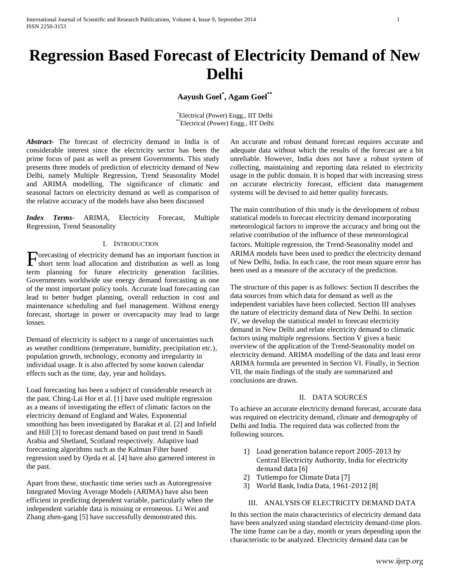# **Regression Based Forecast of Electricity Demand of New Delhi**

# **Aayush Goel\* , Agam Goel\*\***

\*Electrical (Power) Engg., IIT Delhi \*\*Electrical (Power) Engg., IIT Delhi

*Abstract***-** The forecast of electricity demand in India is of considerable interest since the electricity sector has been the prime focus of past as well as present Governments. This study presents three models of prediction of electricity demand of New Delhi, namely Multiple Regression, Trend Seasonality Model and ARIMA modelling. The significance of climatic and seasonal factors on electricity demand as well as comparison of the relative accuracy of the models have also been discussed

*Index Terms*- ARIMA, Electricity Forecast, Multiple Regression, Trend Seasonality

#### I. INTRODUCTION

orecasting of electricity demand has an important function in Forecasting of electricity demand has an important function in<br>short term load allocation and distribution as well as long term planning for future electricity generation facilities. Governments worldwide use energy demand forecasting as one of the most important policy tools. Accurate load forecasting can lead to better budget planning, overall reduction in cost and maintenance scheduling and fuel management. Without energy forecast, shortage in power or overcapacity may lead to large losses.

Demand of electricity is subject to a range of uncertainties such as weather conditions (temperature, humidity, precipitation etc.), population growth, technology, economy and irregularity in individual usage. It is also affected by some known calendar effects such as the time, day, year and holidays.

Load forecasting has been a subject of considerable research in the past. Ching-Lai Hor et al. [1] have used multiple regression as a means of investigating the effect of climatic factors on the electricity demand of England and Wales. Exponential smoothing has been investigated by Barakat et al. [2] and Infield and Hill [3] to forecast demand based on past trend in Saudi Arabia and Shetland, Scotland respectively. Adaptive load forecasting algorithms such as the Kalman Filter based regression used by Ojeda et al. [4] have also garnered interest in the past.

Apart from these, stochastic time series such as Autoregressive Integrated Moving Average Models (ARIMA) have also been efficient in predicting dependent variable, particularly when the independent variable data is missing or erroneous. Li Wei and Zhang zhen-gang [5] have successfully demonstrated this.

An accurate and robust demand forecast requires accurate and adequate data without which the results of the forecast are a bit unreliable. However, India does not have a robust system of collecting, maintaining and reporting data related to electricity usage in the public domain. It is hoped that with increasing stress on accurate electricity forecast, efficient data management systems will be devised to aid better quality forecasts.

The main contribution of this study is the development of robust statistical models to forecast electricity demand incorporating meteorological factors to improve the accuracy and bring out the relative contribution of the influence of these meteorological factors. Multiple regression, the Trend-Seasonality model and ARIMA models have been used to predict the electricity demand of New Delhi, India. In each case, the root mean square error has been used as a measure of the accuracy of the prediction.

The structure of this paper is as follows: Section II describes the data sources from which data for demand as well as the independent variables have been collected. Section III analyses the nature of electricity demand data of New Delhi. In section IV, we develop the statistical model to forecast electricity demand in New Delhi and relate electricity demand to climatic factors using multiple regressions. Section V gives a basic overview of the application of the Trend-Seasonality model on electricity demand. ARIMA modelling of the data and least error ARIMA formula are presented in Section VI. Finally, in Section VII, the main findings of the study are summarized and conclusions are drawn.

### II. DATA SOURCES

To achieve an accurate electricity demand forecast, accurate data was required on electricity demand, climate and demography of Delhi and India. The required data was collected from the following sources.

- 1) Load generation balance report 2005-2013 by Central Electricity Authority, India for electricity demand data [6]
- 2) Tutiempo for Climate Data [7]
- 3) World Bank, India Data, 1961-2012 [8]

# III. ANALYSIS OF ELECTRICITY DEMAND DATA

In this section the main characteristics of electricity demand data have been analyzed using standard electricity demand-time plots. The time frame can be a day, month or years depending upon the characteristic to be analyzed. Electricity demand data can be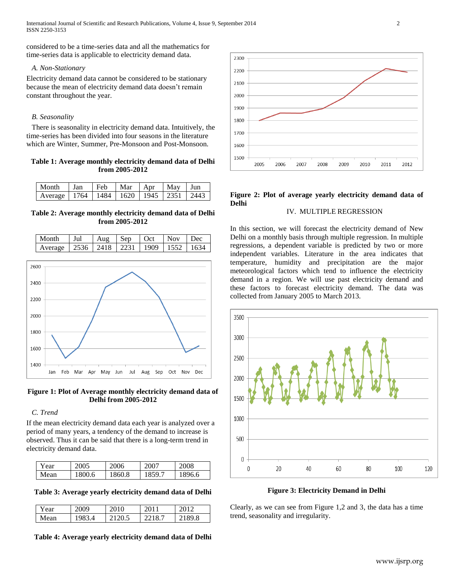International Journal of Scientific and Research Publications, Volume 4, Issue 9, September 2014 2 ISSN 2250-3153

considered to be a time-series data and all the mathematics for time-series data is applicable to electricity demand data.

#### *A. Non-Stationary*

Electricity demand data cannot be considered to be stationary because the mean of electricity demand data doesn't remain constant throughout the year.

#### *B. Seasonality*

There is seasonality in electricity demand data. Intuitively, the time-series has been divided into four seasons in the literature which are Winter, Summer, Pre-Monsoon and Post-Monsoon.

# **Table 1: Average monthly electricity demand data of Delhi from 2005-2012**

| Month Jan                                         | $Feh$ Mar |  | Apr   May   Jun |  |
|---------------------------------------------------|-----------|--|-----------------|--|
| Average   1764   1484   1620   1945   2351   2443 |           |  |                 |  |

**Table 2: Average monthly electricity demand data of Delhi from 2005-2012**

| $\blacksquare$ Month                              | Jul | Aug $\left  \text{Sep} \right $ Oct $\left  \right $ | Nov Dec |  |
|---------------------------------------------------|-----|------------------------------------------------------|---------|--|
| Average   2536   2418   2231   1909   1552   1634 |     |                                                      |         |  |





### *C. Trend*

If the mean electricity demand data each year is analyzed over a period of many years, a tendency of the demand to increase is observed. Thus it can be said that there is a long-term trend in electricity demand data.

| Year | 2005   | 2006   | 2007       | 2008  |
|------|--------|--------|------------|-------|
| Mean | 1800.6 | 1860.8 | $.859$ $-$ | 896.6 |

**Table 3: Average yearly electricity demand data of Delhi**

| Year | 2009     |     |      |
|------|----------|-----|------|
| Mean | $\Delta$ | ∪.J | 89.8 |

# **Table 4: Average yearly electricity demand data of Delhi**



# **Figure 2: Plot of average yearly electricity demand data of Delhi**

# IV. MULTIPLE REGRESSION

In this section, we will forecast the electricity demand of New Delhi on a monthly basis through multiple regression. In multiple regressions, a dependent variable is predicted by two or more independent variables. Literature in the area indicates that temperature, humidity and precipitation are the major meteorological factors which tend to influence the electricity demand in a region. We will use past electricity demand and these factors to forecast electricity demand. The data was collected from January 2005 to March 2013.



**Figure 3: Electricity Demand in Delhi**

Clearly, as we can see from Figure 1,2 and 3, the data has a time trend, seasonality and irregularity.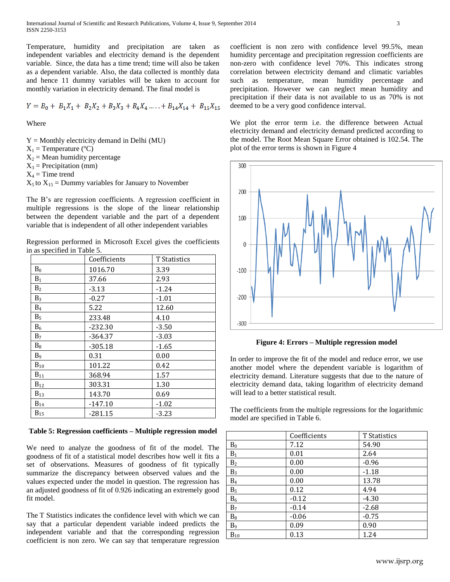International Journal of Scientific and Research Publications, Volume 4, Issue 9, September 2014 3 ISSN 2250-3153

Temperature, humidity and precipitation are taken as independent variables and electricity demand is the dependent variable. Since, the data has a time trend; time will also be taken as a dependent variable. Also, the data collected is monthly data and hence 11 dummy variables will be taken to account for monthly variation in electricity demand. The final model is

$$
Y = B_0 + B_1X_1 + B_2X_2 + B_3X_3 + B_4X_4 + \ldots + B_{14}X_{14} + B_{15}X_{15}
$$

Where

- $Y =$  Monthly electricity demand in Delhi (MU)
- $X_1$  = Temperature (°C)
- $X_2$  = Mean humidity percentage
- $X_3$  = Precipitation (mm)

 $X_4$  = Time trend

 $X_5$  to  $X_{15}$  = Dummy variables for January to November

The B's are regression coefficients. A regression coefficient in multiple regressions is the slope of the linear relationship between the dependent variable and the part of a dependent variable that is independent of all other independent variables

Regression performed in Microsoft Excel gives the coefficients in as specified in Table 5.

|                | Coefficients | T Statistics |
|----------------|--------------|--------------|
| $B_0$          | 1016.70      | 3.39         |
| $B_1$          | 37.66        | 2.93         |
| B <sub>2</sub> | $-3.13$      | $-1.24$      |
| $B_3$          | $-0.27$      | $-1.01$      |
| $B_4$          | 5.22         | 12.60        |
| B <sub>5</sub> | 233.48       | 4.10         |
| $B_6$          | $-232.30$    | $-3.50$      |
| B <sub>7</sub> | -364.37      | $-3.03$      |
| B <sub>8</sub> | $-305.18$    | $-1.65$      |
| B9             | 0.31         | 0.00         |
| $B_{10}$       | 101.22       | 0.42         |
| $B_{11}$       | 368.94       | 1.57         |
| $B_{12}$       | 303.31       | 1.30         |
| $B_{13}$       | 143.70       | 0.69         |
| $B_{14}$       | $-147.10$    | $-1.02$      |
| $B_{15}$       | $-281.15$    | $-3.23$      |

**Table 5: Regression coefficients – Multiple regression model**

We need to analyze the goodness of fit of the model. The goodness of fit of a statistical model describes how well it fits a set of observations. Measures of goodness of fit typically summarize the discrepancy between observed values and the values expected under the model in question. The regression has an adjusted goodness of fit of 0.926 indicating an extremely good fit model.

The T Statistics indicates the confidence level with which we can say that a particular dependent variable indeed predicts the independent variable and that the corresponding regression coefficient is non zero. We can say that temperature regression

coefficient is non zero with confidence level 99.5%, mean humidity percentage and precipitation regression coefficients are non-zero with confidence level 70%. This indicates strong correlation between electricity demand and climatic variables such as temperature, mean humidity percentage and precipitation. However we can neglect mean humidity and precipitation if their data is not available to us as 70% is not deemed to be a very good confidence interval.

We plot the error term i.e. the difference between Actual electricity demand and electricity demand predicted according to the model. The Root Mean Square Error obtained is 102.54. The plot of the error terms is shown in Figure 4



**Figure 4: Errors – Multiple regression model**

In order to improve the fit of the model and reduce error, we use another model where the dependent variable is logarithm of electricity demand. Literature suggests that due to the nature of electricity demand data, taking logarithm of electricity demand will lead to a better statistical result.

The coefficients from the multiple regressions for the logarithmic model are specified in Table 6.

|                | Coefficients | T Statistics |
|----------------|--------------|--------------|
| $B_0$          | 7.12         | 54.90        |
| $B_1$          | 0.01         | 2.64         |
| B <sub>2</sub> | 0.00         | $-0.96$      |
| B <sub>3</sub> | 0.00         | $-1.18$      |
| $B_4$          | 0.00         | 13.78        |
| B <sub>5</sub> | 0.12         | 4.94         |
| $B_6$          | $-0.12$      | $-4.30$      |
| B <sub>7</sub> | $-0.14$      | $-2.68$      |
| $B_8$          | $-0.06$      | $-0.75$      |
| B <sub>9</sub> | 0.09         | 0.90         |
| $B_{10}$       | 0.13         | 1.24         |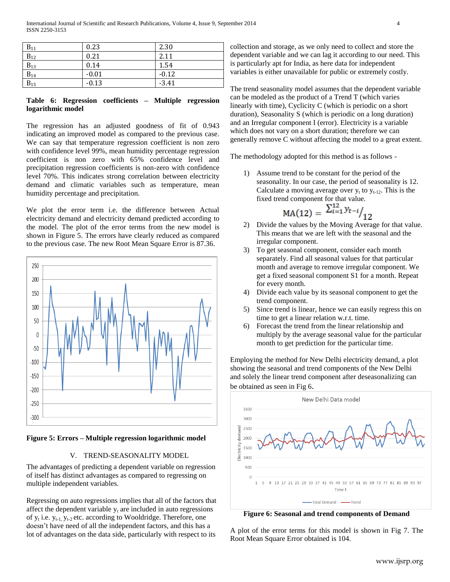| $B_{11}$                | 0.23    | 2.30    |
|-------------------------|---------|---------|
| $B_{12}$                | 0.21    | 2.11    |
| $B_{13}$                | 0.14    | 1.54    |
| $\frac{B_{14}}{B_{15}}$ | $-0.01$ | $-0.12$ |
|                         | $-0.13$ | $-3.41$ |

## **Table 6: Regression coefficients – Multiple regression logarithmic model**

The regression has an adjusted goodness of fit of 0.943 indicating an improved model as compared to the previous case. We can say that temperature regression coefficient is non zero with confidence level 99%, mean humidity percentage regression coefficient is non zero with 65% confidence level and precipitation regression coefficients is non-zero with confidence level 70%. This indicates strong correlation between electricity demand and climatic variables such as temperature, mean humidity percentage and precipitation.

We plot the error term i.e. the difference between Actual electricity demand and electricity demand predicted according to the model. The plot of the error terms from the new model is shown in Figure 5. The errors have clearly reduced as compared to the previous case. The new Root Mean Square Error is 87.36.



**Figure 5: Errors – Multiple regression logarithmic model**

# V. TREND-SEASONALITY MODEL

The advantages of predicting a dependent variable on regression of itself has distinct advantages as compared to regressing on multiple independent variables.

Regressing on auto regressions implies that all of the factors that affect the dependent variable  $y_t$  are included in auto regressions of  $y_t$  i.e.  $y_{t-1}$ ,  $y_{t-2}$  etc. according to Wooldridge. Therefore, one doesn't have need of all the independent factors, and this has a lot of advantages on the data side, particularly with respect to its

collection and storage, as we only need to collect and store the dependent variable and we can lag it according to our need. This is particularly apt for India, as here data for independent variables is either unavailable for public or extremely costly.

The trend seasonality model assumes that the dependent variable can be modeled as the product of a Trend T (which varies linearly with time), Cyclicity C (which is periodic on a short duration), Seasonality S (which is periodic on a long duration) and an Irregular component I (error). Electricity is a variable which does not vary on a short duration; therefore we can generally remove C without affecting the model to a great extent.

The methodology adopted for this method is as follows -

1) Assume trend to be constant for the period of the seasonality. In our case, the period of seasonality is 12. Calculate a moving average over  $y_t$  to  $y_{t-12}$ . This is the fixed trend component for that value.

$$
MA(12) = \left. \frac{\sum_{i=1}^{12} y_{t-i}}{12} \right|
$$

- 2) Divide the values by the Moving Average for that value. This means that we are left with the seasonal and the irregular component.
- 3) To get seasonal component, consider each month separately. Find all seasonal values for that particular month and average to remove irregular component. We get a fixed seasonal component S1 for a month. Repeat for every month.
- 4) Divide each value by its seasonal component to get the trend component.
- 5) Since trend is linear, hence we can easily regress this on time to get a linear relation w.r.t. time.
- 6) Forecast the trend from the linear relationship and multiply by the average seasonal value for the particular month to get prediction for the particular time.

Employing the method for New Delhi electricity demand, a plot showing the seasonal and trend components of the New Delhi and solely the linear trend component after deseasonalizing can be obtained as seen in Fig 6.



**Figure 6: Seasonal and trend components of Demand**

A plot of the error terms for this model is shown in Fig 7. The Root Mean Square Error obtained is 104.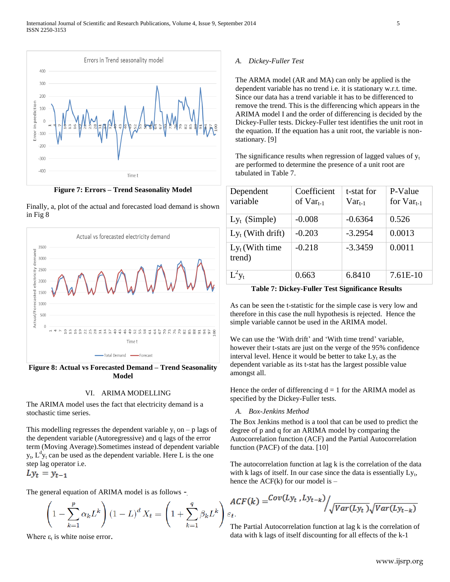

**Figure 7: Errors – Trend Seasonality Model**





**Figure 8: Actual vs Forecasted Demand – Trend Seasonality Model**

#### VI. ARIMA MODELLING

The ARIMA model uses the fact that electricity demand is a stochastic time series.

This modelling regresses the dependent variable  $y_t$  on – p lags of the dependent variable (Autoregressive) and q lags of the error term (Moving Average).Sometimes instead of dependent variable  $y_t$ ,  $L^d y_t$  can be used as the dependent variable. Here L is the one step lag operator i.e.

$$
Ly_t = y_{t-1}
$$

The general equation of ARIMA model is as follows -

$$
\left(1 - \sum_{k=1}^{p} \alpha_k L^k \right) (1 - L)^d X_t = \left(1 + \sum_{k=1}^{q} \beta_k L^k \right).
$$

Where  $\varepsilon_t$  is white noise error.

#### *A. Dickey-Fuller Test*

The ARMA model (AR and MA) can only be applied is the dependent variable has no trend i.e. it is stationary w.r.t. time. Since our data has a trend variable it has to be differenced to remove the trend. This is the differencing which appears in the ARIMA model I and the order of differencing is decided by the Dickey-Fuller tests. Dickey-Fuller test identifies the unit root in the equation. If the equation has a unit root, the variable is nonstationary. [9]

The significance results when regression of lagged values of  $y_t$ are performed to determine the presence of a unit root are tabulated in Table 7.

| Dependent<br>variable       | Coefficient<br>of $Var_{t-1}$ | t-stat for<br>$Var_{t-1}$ | P-Value<br>for $Var_{t-1}$ |
|-----------------------------|-------------------------------|---------------------------|----------------------------|
| $Ly_t$ (Simple)             | $-0.008$                      | $-0.6364$                 | 0.526                      |
| $Ly_t$ (With drift)         | $-0.203$                      | $-3.2954$                 | 0.0013                     |
| $Ly_t$ (With time<br>trend) | $-0.218$                      | $-3.3459$                 | 0.0011                     |
| $L^2 y_t$                   | 0.663                         | 6.8410                    | 7.61E-10                   |

**Table 7: Dickey-Fuller Test Significance Results**

As can be seen the t-statistic for the simple case is very low and therefore in this case the null hypothesis is rejected. Hence the simple variable cannot be used in the ARIMA model.

We can use the 'With drift' and 'With time trend' variable, however their t-stats are just on the verge of the 95% confidence interval level. Hence it would be better to take  $Ly_t$  as the dependent variable as its t-stat has the largest possible value amongst all.

Hence the order of differencing  $d = 1$  for the ARIMA model as specified by the Dickey-Fuller tests.

#### *A. Box-Jenkins Method*

The Box Jenkins method is a tool that can be used to predict the degree of p and q for an ARIMA model by comparing the Autocorrelation function (ACF) and the Partial Autocorrelation function (PACF) of the data. [10]

The autocorrelation function at lag k is the correlation of the data with k lags of itself. In our case since the data is essentially  $Ly<sub>t</sub>$ , hence the  $ACF(k)$  for our model is  $-$ 

$$
ACF(k) = \frac{Cov(Ly_t, Ly_{t-k})}{\sqrt{Var(Ly_t)}\sqrt{Var(Ly_{t-k})}}
$$

The Partial Autocorrelation function at lag k is the correlation of data with k lags of itself discounting for all effects of the k-1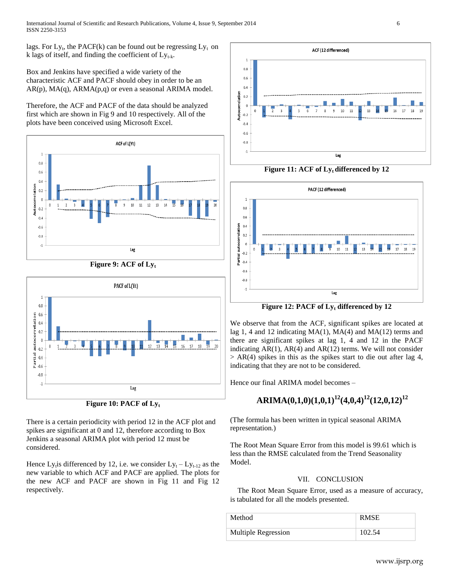lags. For  $Ly_t$ , the PACF(k) can be found out be regressing  $Ly_t$  on k lags of itself, and finding the coefficient of  $Ly_{t-k}$ .

Box and Jenkins have specified a wide variety of the characteristic ACF and PACF should obey in order to be an  $AR(p)$ ,  $MA(q)$ ,  $ARMA(p,q)$  or even a seasonal ARIMA model.

Therefore, the ACF and PACF of the data should be analyzed first which are shown in Fig 9 and 10 respectively. All of the plots have been conceived using Microsoft Excel.





**Figure 10: PACF of Ly<sup>t</sup>**

There is a certain periodicity with period 12 in the ACF plot and spikes are significant at 0 and 12, therefore according to Box Jenkins a seasonal ARIMA plot with period 12 must be considered.

Hence Ly<sub>t</sub> is differenced by 12, i.e. we consider  $Ly_t - Ly_{t-12}$  as the new variable to which ACF and PACF are applied. The plots for the new ACF and PACF are shown in Fig 11 and Fig 12 respectively.



**Figure 11: ACF of Lyt differenced by 12**



**Figure 12: PACF of Ly<sup>t</sup> differenced by 12**

We observe that from the ACF, significant spikes are located at lag 1, 4 and 12 indicating MA(1), MA(4) and MA(12) terms and there are significant spikes at lag 1, 4 and 12 in the PACF indicating  $AR(1)$ ,  $AR(4)$  and  $AR(12)$  terms. We will not consider  $> AR(4)$  spikes in this as the spikes start to die out after lag 4, indicating that they are not to be considered.

Hence our final ARIMA model becomes –

# **ARIMA(0,1,0)(1,0,1)<sup>12</sup>(4,0,4)<sup>12</sup>(12,0,12)<sup>12</sup>**

(The formula has been written in typical seasonal ARIMA representation.)

The Root Mean Square Error from this model is 99.61 which is less than the RMSE calculated from the Trend Seasonality Model.

# VII. CONCLUSION

The Root Mean Square Error, used as a measure of accuracy, is tabulated for all the models presented.

| Method              | <b>RMSE</b> |
|---------------------|-------------|
| Multiple Regression | 102.54      |